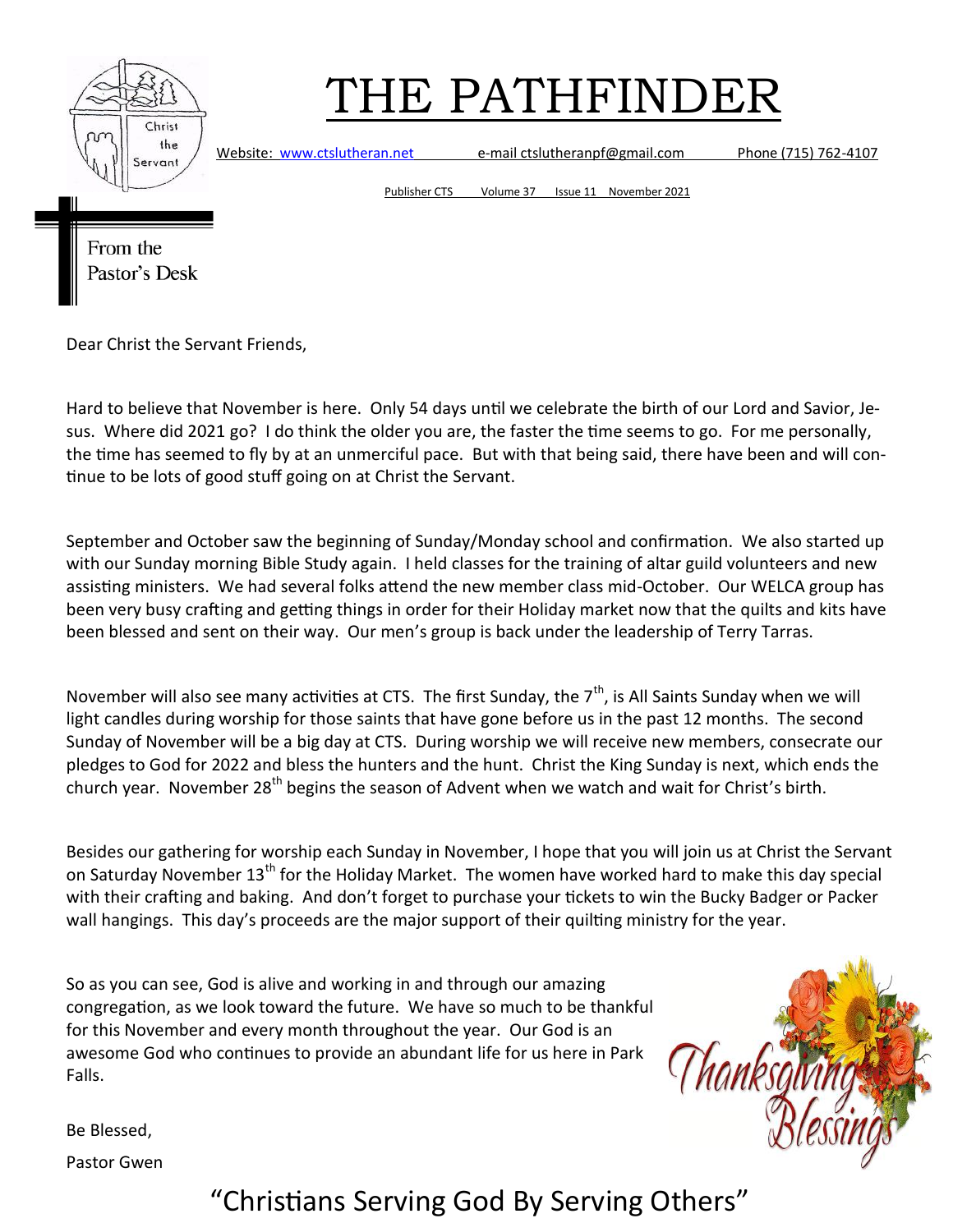

Website: [www.ctslutheran.net](http://www.ctslutheran.net/) e-mail ctslutheranpf@gmail.com Phone (715) 762-4107

Publisher CTS Volume 37 Issue 11 November 2021

From the Pastor's Desk

Dear Christ the Servant Friends,

Hard to believe that November is here. Only 54 days until we celebrate the birth of our Lord and Savior, Jesus. Where did 2021 go? I do think the older you are, the faster the time seems to go. For me personally, the time has seemed to fly by at an unmerciful pace. But with that being said, there have been and will continue to be lots of good stuff going on at Christ the Servant.

September and October saw the beginning of Sunday/Monday school and confirmation. We also started up with our Sunday morning Bible Study again. I held classes for the training of altar guild volunteers and new assisting ministers. We had several folks attend the new member class mid-October. Our WELCA group has been very busy crafting and getting things in order for their Holiday market now that the quilts and kits have been blessed and sent on their way. Our men's group is back under the leadership of Terry Tarras.

November will also see many activities at CTS. The first Sunday, the  $7<sup>th</sup>$ , is All Saints Sunday when we will light candles during worship for those saints that have gone before us in the past 12 months. The second Sunday of November will be a big day at CTS. During worship we will receive new members, consecrate our pledges to God for 2022 and bless the hunters and the hunt. Christ the King Sunday is next, which ends the church year. November  $28<sup>th</sup>$  begins the season of Advent when we watch and wait for Christ's birth.

Besides our gathering for worship each Sunday in November, I hope that you will join us at Christ the Servant on Saturday November 13<sup>th</sup> for the Holiday Market. The women have worked hard to make this day special with their crafting and baking. And don't forget to purchase your tickets to win the Bucky Badger or Packer wall hangings. This day's proceeds are the major support of their quilting ministry for the year.

So as you can see, God is alive and working in and through our amazing congregation, as we look toward the future. We have so much to be thankful for this November and every month throughout the year. Our God is an awesome God who continues to provide an abundant life for us here in Park Falls.



Be Blessed,

Pastor Gwen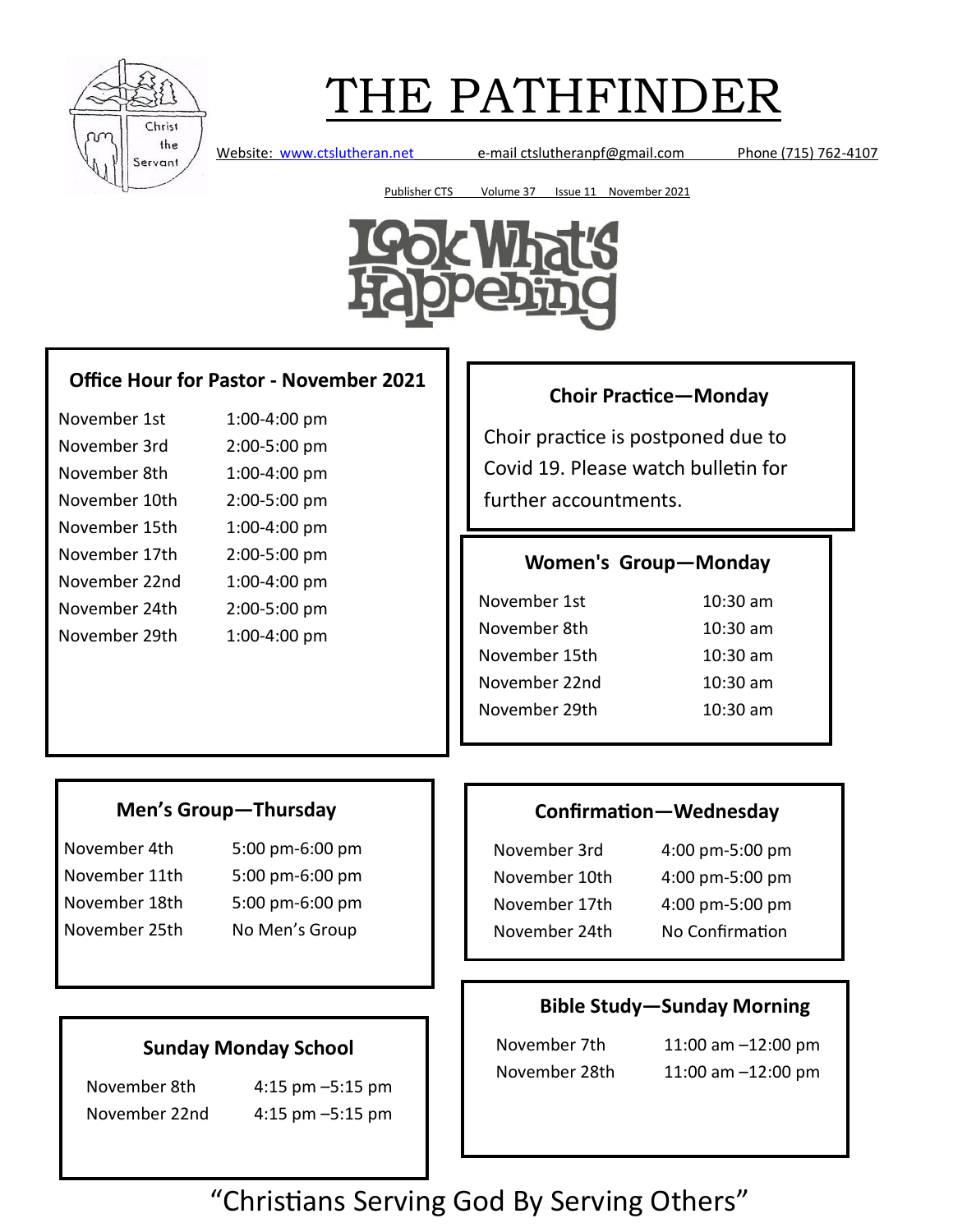

Website: [www.ctslutheran.net](http://www.ctslutheran.net/) e-mail ctslutheranpf@gmail.com Phone (715) 762-4107

Publisher CTS Volume 37 Issue 11 November 2021



## **Office Hour for Pastor - November 2021**

| November 1st  | 1:00-4:00 pm |
|---------------|--------------|
| November 3rd  | 2:00-5:00 pm |
| November 8th  | 1:00-4:00 pm |
| November 10th | 2:00-5:00 pm |
| November 15th | 1:00-4:00 pm |
| November 17th | 2:00-5:00 pm |
| November 22nd | 1:00-4:00 pm |
| November 24th | 2:00-5:00 pm |
| November 29th | 1:00-4:00 pm |

## **Choir Practice—Monday**

Choir practice is postponed due to Covid 19. Please watch bulletin for further accountments.

### **Women's Group—Monday**

| $10:30$ am         |
|--------------------|
| $10:30$ am         |
| $10:30 \text{ am}$ |
| $10:30$ am         |
| $10:30 \text{ am}$ |
|                    |

### **Men's Group—Thursday**

November 4th 5:00 pm-6:00 pm November 11th 5:00 pm-6:00 pm November 18th 5:00 pm-6:00 pm November 25th No Men's Group

## **Confirmation—Wednesday**

| November 3rd  | 4:00 pm-5:00 pm |
|---------------|-----------------|
| November 10th | 4:00 pm-5:00 pm |
| November 17th | 4:00 pm-5:00 pm |
| November 24th | No Confirmation |
|               |                 |

### **Bible Study—Sunday Morning**

November 7th 11:00 am –12:00 pm November 28th 11:00 am –12:00 pm

**Sunday Monday School**

November 8th 4:15 pm –5:15 pm November 22nd 4:15 pm –5:15 pm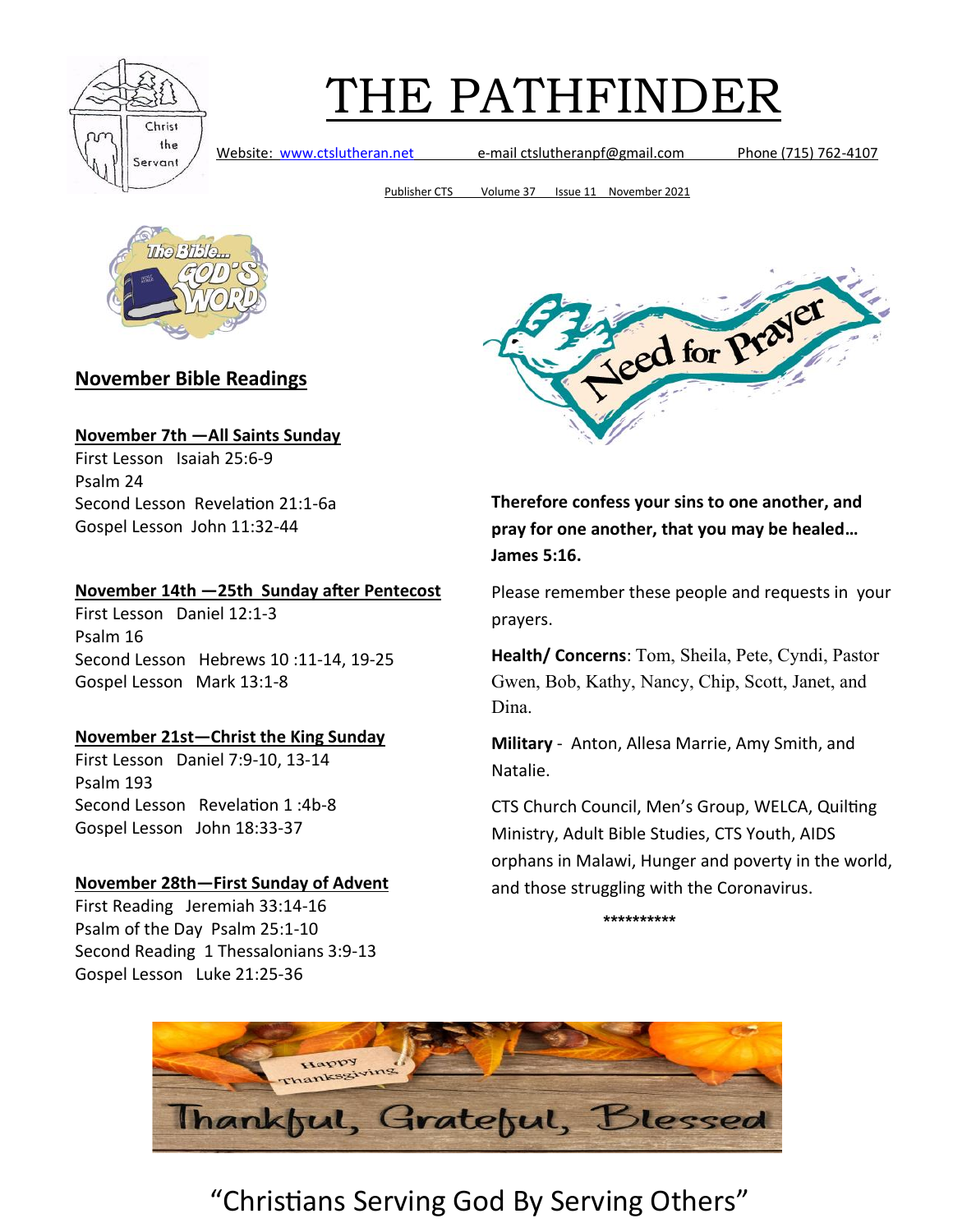

Website: [www.ctslutheran.net](http://www.ctslutheran.net/) e-mail ctslutheranpf@gmail.com Phone (715) 762-4107

Publisher CTS Volume 37 Issue 11 November 2021



## **November Bible Readings**

#### **November 7th —All Saints Sunday**

First Lesson Isaiah 25:6-9 Psalm 24 Second Lesson Revelation 21:1-6a Gospel Lesson John 11:32-44

#### **November 14th —25th Sunday after Pentecost**

First Lesson Daniel 12:1-3 Psalm 16 Second Lesson Hebrews 10 :11-14, 19-25 Gospel Lesson Mark 13:1-8

#### **November 21st—Christ the King Sunday**

First Lesson Daniel 7:9-10, 13-14 Psalm 193 Second Lesson Revelation 1 :4b-8 Gospel Lesson John 18:33-37

#### **November 28th—First Sunday of Advent**

First Reading Jeremiah 33:14-16 Psalm of the Day Psalm 25:1-10 Second Reading 1 Thessalonians 3:9-13 Gospel Lesson Luke 21:25-36



**Therefore confess your sins to one another, and pray for one another, that you may be healed… James 5:16.**

Please remember these people and requests in your prayers.

**Health/ Concerns**: Tom, Sheila, Pete, Cyndi, Pastor Gwen, Bob, Kathy, Nancy, Chip, Scott, Janet, and Dina.

**Military** - Anton, Allesa Marrie, Amy Smith, and Natalie.

CTS Church Council, Men's Group, WELCA, Quilting Ministry, Adult Bible Studies, CTS Youth, AIDS orphans in Malawi, Hunger and poverty in the world, and those struggling with the Coronavirus.

**\*\*\*\*\*\*\*\*\*\***

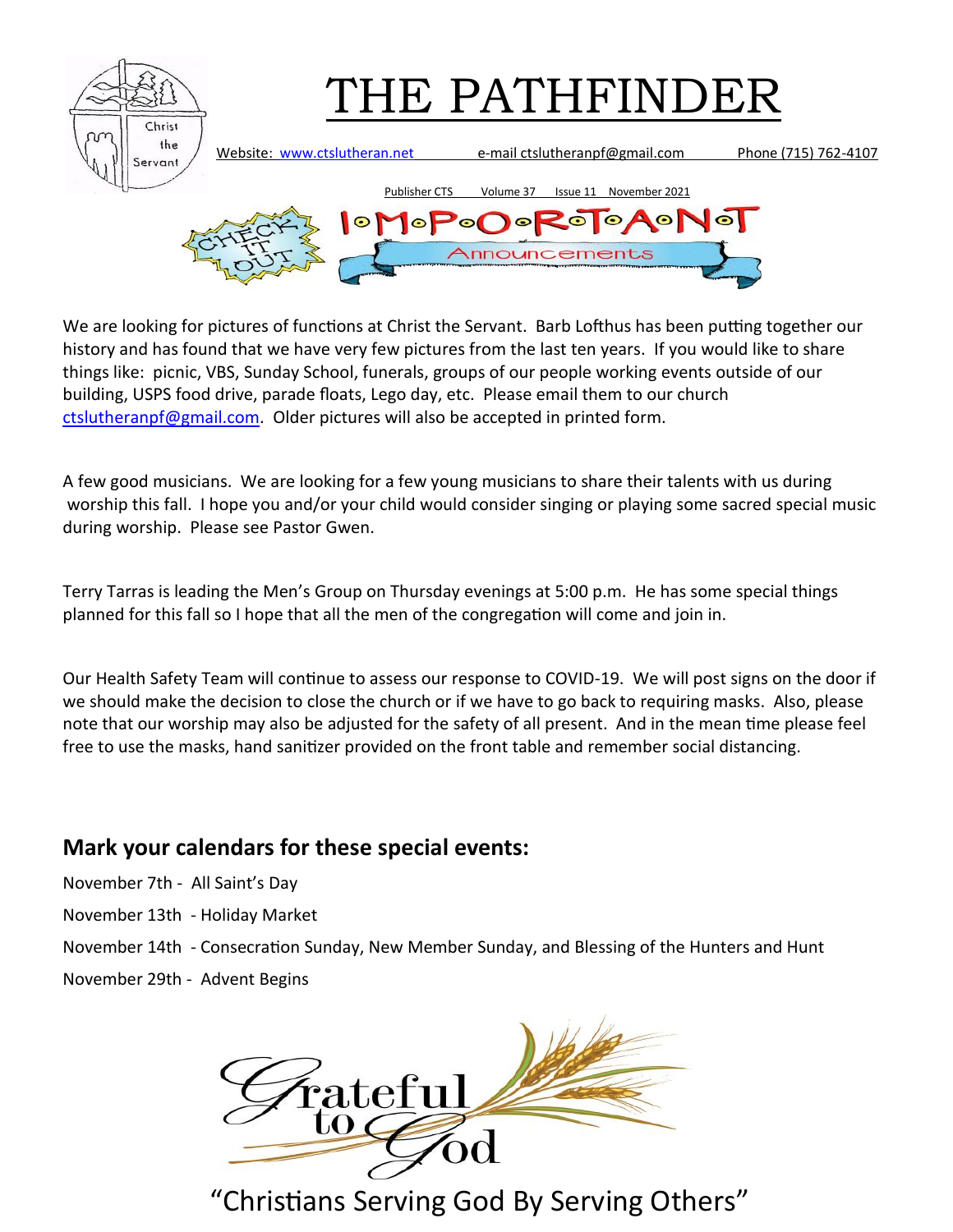

We are looking for pictures of functions at Christ the Servant. Barb Lofthus has been putting together our history and has found that we have very few pictures from the last ten years. If you would like to share things like: picnic, VBS, Sunday School, funerals, groups of our people working events outside of our building, USPS food drive, parade floats, Lego day, etc. Please email them to our church [ctslutheranpf@gmail.com.](mailto:ctslutheranpf@gmail.com) Older pictures will also be accepted in printed form.

A few good musicians. We are looking for a few young musicians to share their talents with us during worship this fall. I hope you and/or your child would consider singing or playing some sacred special music during worship. Please see Pastor Gwen.

Terry Tarras is leading the Men's Group on Thursday evenings at 5:00 p.m. He has some special things planned for this fall so I hope that all the men of the congregation will come and join in.

Our Health Safety Team will continue to assess our response to COVID-19. We will post signs on the door if we should make the decision to close the church or if we have to go back to requiring masks. Also, please note that our worship may also be adjusted for the safety of all present. And in the mean time please feel free to use the masks, hand sanitizer provided on the front table and remember social distancing.

## **Mark your calendars for these special events:**

November 7th - All Saint's Day

November 13th - Holiday Market

November 14th - Consecration Sunday, New Member Sunday, and Blessing of the Hunters and Hunt

November 29th - Advent Begins

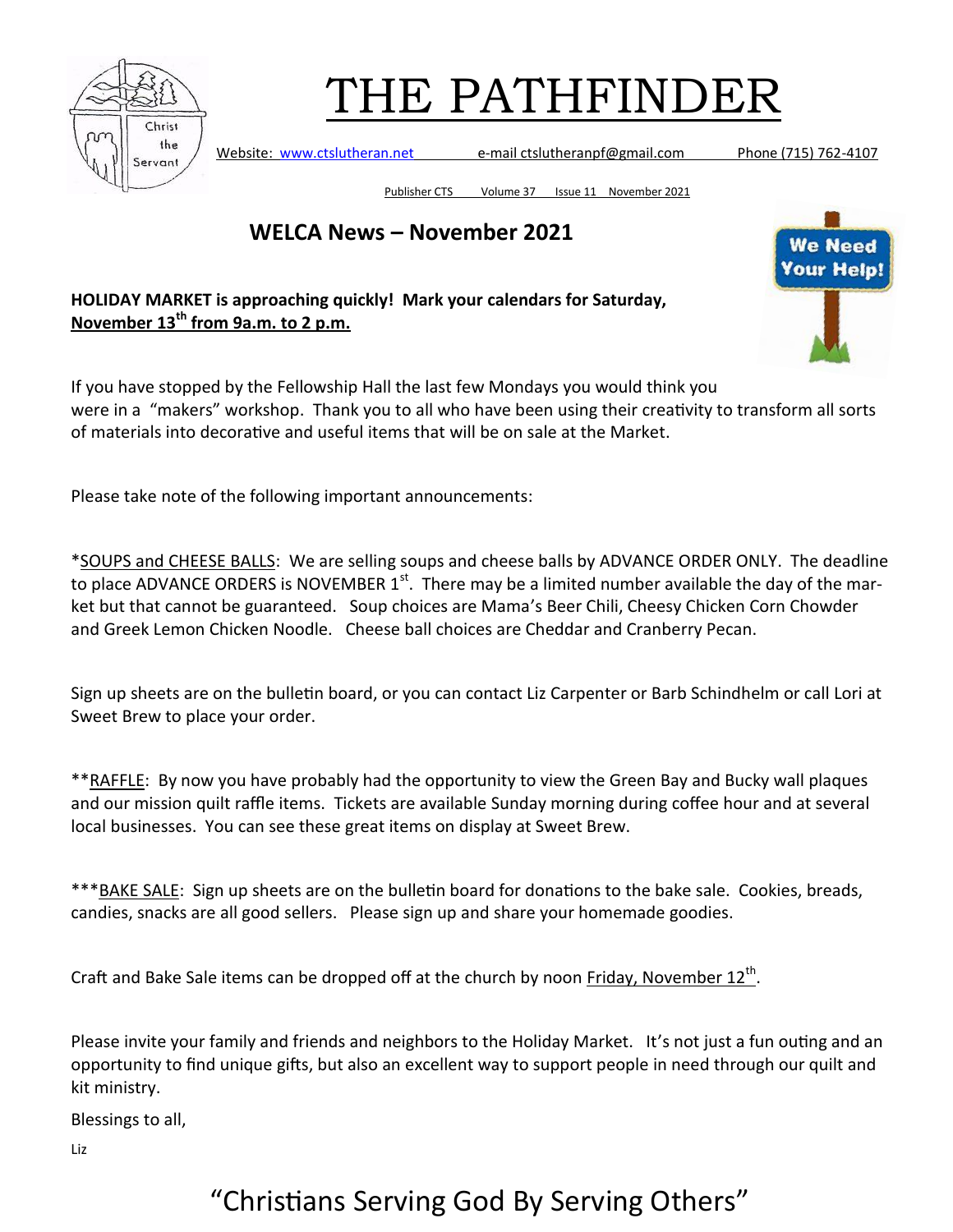

Website: [www.ctslutheran.net](http://www.ctslutheran.net/) e-mail ctslutheranpf@gmail.com Phone (715) 762-4107

Publisher CTS Volume 37 Issue 11 November 2021

**WELCA News – November 2021**

**HOLIDAY MARKET is approaching quickly! Mark your calendars for Saturday, November 13th from 9a.m. to 2 p.m.** 

If you have stopped by the Fellowship Hall the last few Mondays you would think you were in a "makers" workshop. Thank you to all who have been using their creativity to transform all sorts of materials into decorative and useful items that will be on sale at the Market.

Please take note of the following important announcements:

\*SOUPS and CHEESE BALLS: We are selling soups and cheese balls by ADVANCE ORDER ONLY. The deadline to place ADVANCE ORDERS is NOVEMBER  $1<sup>st</sup>$ . There may be a limited number available the day of the market but that cannot be guaranteed. Soup choices are Mama's Beer Chili, Cheesy Chicken Corn Chowder and Greek Lemon Chicken Noodle. Cheese ball choices are Cheddar and Cranberry Pecan.

Sign up sheets are on the bulletin board, or you can contact Liz Carpenter or Barb Schindhelm or call Lori at Sweet Brew to place your order.

\*\*RAFFLE: By now you have probably had the opportunity to view the Green Bay and Bucky wall plaques and our mission quilt raffle items. Tickets are available Sunday morning during coffee hour and at several local businesses. You can see these great items on display at Sweet Brew.

\*\*\*BAKE SALE: Sign up sheets are on the bulletin board for donations to the bake sale. Cookies, breads, candies, snacks are all good sellers. Please sign up and share your homemade goodies.

Craft and Bake Sale items can be dropped off at the church by noon Friday, November 12<sup>th</sup>.

Please invite your family and friends and neighbors to the Holiday Market. It's not just a fun outing and an opportunity to find unique gifts, but also an excellent way to support people in need through our quilt and kit ministry.

Blessings to all,

Liz